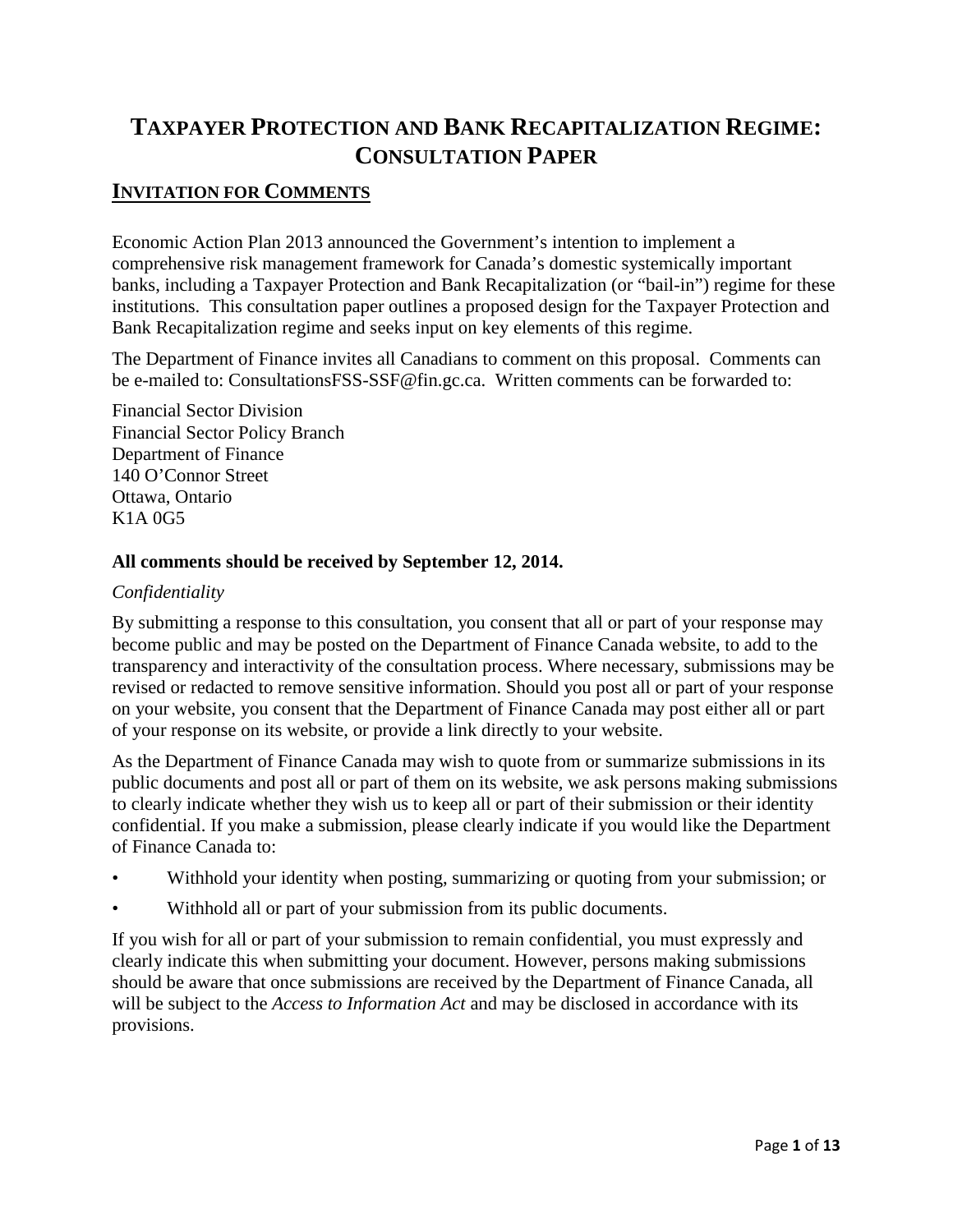# **TAXPAYER PROTECTION AND BANK RECAPITALIZATION REGIME: CONSULTATION PAPER**

## **INVITATION FOR COMMENTS**

Economic Action Plan 2013 announced the Government's intention to implement a comprehensive risk management framework for Canada's domestic systemically important banks, including a Taxpayer Protection and Bank Recapitalization (or "bail-in") regime for these institutions. This consultation paper outlines a proposed design for the Taxpayer Protection and Bank Recapitalization regime and seeks input on key elements of this regime.

The Department of Finance invites all Canadians to comment on this proposal. Comments can be e-mailed to: ConsultationsFSS-SSF@fin.gc.ca. Written comments can be forwarded to:

Financial Sector Division Financial Sector Policy Branch Department of Finance 140 O'Connor Street Ottawa, Ontario K1A 0G5

#### **All comments should be received by September 12, 2014.**

#### *Confidentiality*

By submitting a response to this consultation, you consent that all or part of your response may become public and may be posted on the Department of Finance Canada website, to add to the transparency and interactivity of the consultation process. Where necessary, submissions may be revised or redacted to remove sensitive information. Should you post all or part of your response on your website, you consent that the Department of Finance Canada may post either all or part of your response on its website, or provide a link directly to your website.

As the Department of Finance Canada may wish to quote from or summarize submissions in its public documents and post all or part of them on its website, we ask persons making submissions to clearly indicate whether they wish us to keep all or part of their submission or their identity confidential. If you make a submission, please clearly indicate if you would like the Department of Finance Canada to:

- Withhold your identity when posting, summarizing or quoting from your submission; or
- Withhold all or part of your submission from its public documents.

If you wish for all or part of your submission to remain confidential, you must expressly and clearly indicate this when submitting your document. However, persons making submissions should be aware that once submissions are received by the Department of Finance Canada, all will be subject to the *Access to Information Act* and may be disclosed in accordance with its provisions.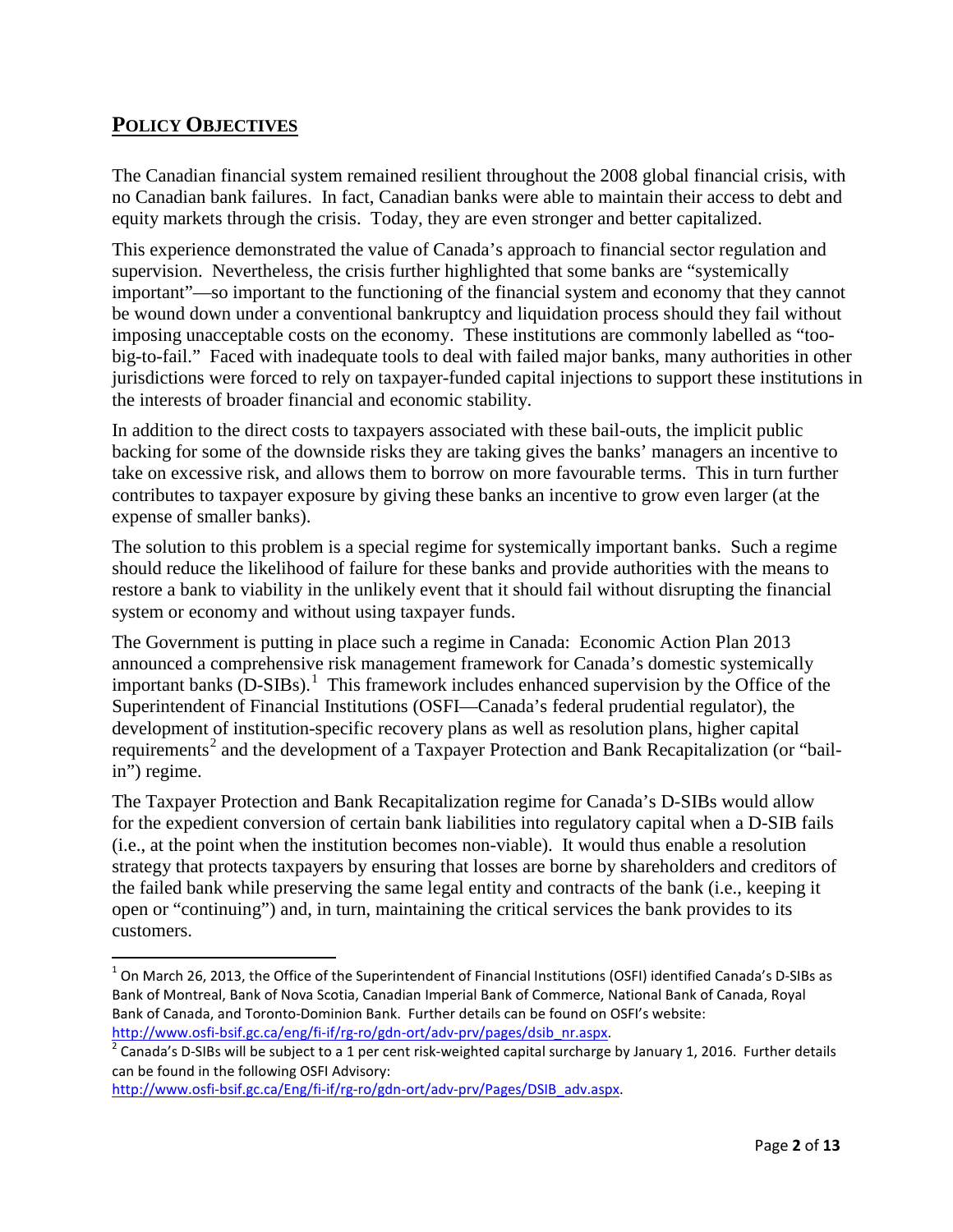## **POLICY OBJECTIVES**

l

The Canadian financial system remained resilient throughout the 2008 global financial crisis, with no Canadian bank failures. In fact, Canadian banks were able to maintain their access to debt and equity markets through the crisis. Today, they are even stronger and better capitalized.

This experience demonstrated the value of Canada's approach to financial sector regulation and supervision. Nevertheless, the crisis further highlighted that some banks are "systemically important"—so important to the functioning of the financial system and economy that they cannot be wound down under a conventional bankruptcy and liquidation process should they fail without imposing unacceptable costs on the economy. These institutions are commonly labelled as "toobig-to-fail." Faced with inadequate tools to deal with failed major banks, many authorities in other jurisdictions were forced to rely on taxpayer-funded capital injections to support these institutions in the interests of broader financial and economic stability.

In addition to the direct costs to taxpayers associated with these bail-outs, the implicit public backing for some of the downside risks they are taking gives the banks' managers an incentive to take on excessive risk, and allows them to borrow on more favourable terms. This in turn further contributes to taxpayer exposure by giving these banks an incentive to grow even larger (at the expense of smaller banks).

The solution to this problem is a special regime for systemically important banks. Such a regime should reduce the likelihood of failure for these banks and provide authorities with the means to restore a bank to viability in the unlikely event that it should fail without disrupting the financial system or economy and without using taxpayer funds.

The Government is putting in place such a regime in Canada: Economic Action Plan 2013 announced a comprehensive risk management framework for Canada's domestic systemically important banks (D-SIBs).<sup>[1](#page-1-0)</sup> This framework includes enhanced supervision by the Office of the Superintendent of Financial Institutions (OSFI—Canada's federal prudential regulator), the development of institution-specific recovery plans as well as resolution plans, higher capital requirements<sup>[2](#page-1-1)</sup> and the development of a Taxpayer Protection and Bank Recapitalization (or "bailin") regime.

The Taxpayer Protection and Bank Recapitalization regime for Canada's D-SIBs would allow for the expedient conversion of certain bank liabilities into regulatory capital when a D-SIB fails (i.e., at the point when the institution becomes non-viable). It would thus enable a resolution strategy that protects taxpayers by ensuring that losses are borne by shareholders and creditors of the failed bank while preserving the same legal entity and contracts of the bank (i.e., keeping it open or "continuing") and, in turn, maintaining the critical services the bank provides to its customers.

<span id="page-1-0"></span> $1$  On March 26, 2013, the Office of the Superintendent of Financial Institutions (OSFI) identified Canada's D-SIBs as Bank of Montreal, Bank of Nova Scotia, Canadian Imperial Bank of Commerce, National Bank of Canada, Royal Bank of Canada, and Toronto-Dominion Bank. Further details can be found on OSFI's website:

<span id="page-1-1"></span>http://www.osfi-bsif.gc.ca/eng/fi-if/rg-ro/gdn-ort/adv-prv/pages/dsib\_nr.aspx.<br><sup>2</sup> Canada's D-SIBs will be subject to a 1 per cent risk-weighted capital surcharge by January 1, 2016. Further details can be found in the following OSFI Advisory:

[http://www.osfi-bsif.gc.ca/Eng/fi-if/rg-ro/gdn-ort/adv-prv/Pages/DSIB\\_adv.aspx.](http://www.osfi-bsif.gc.ca/Eng/fi-if/rg-ro/gdn-ort/adv-prv/Pages/DSIB_adv.aspx)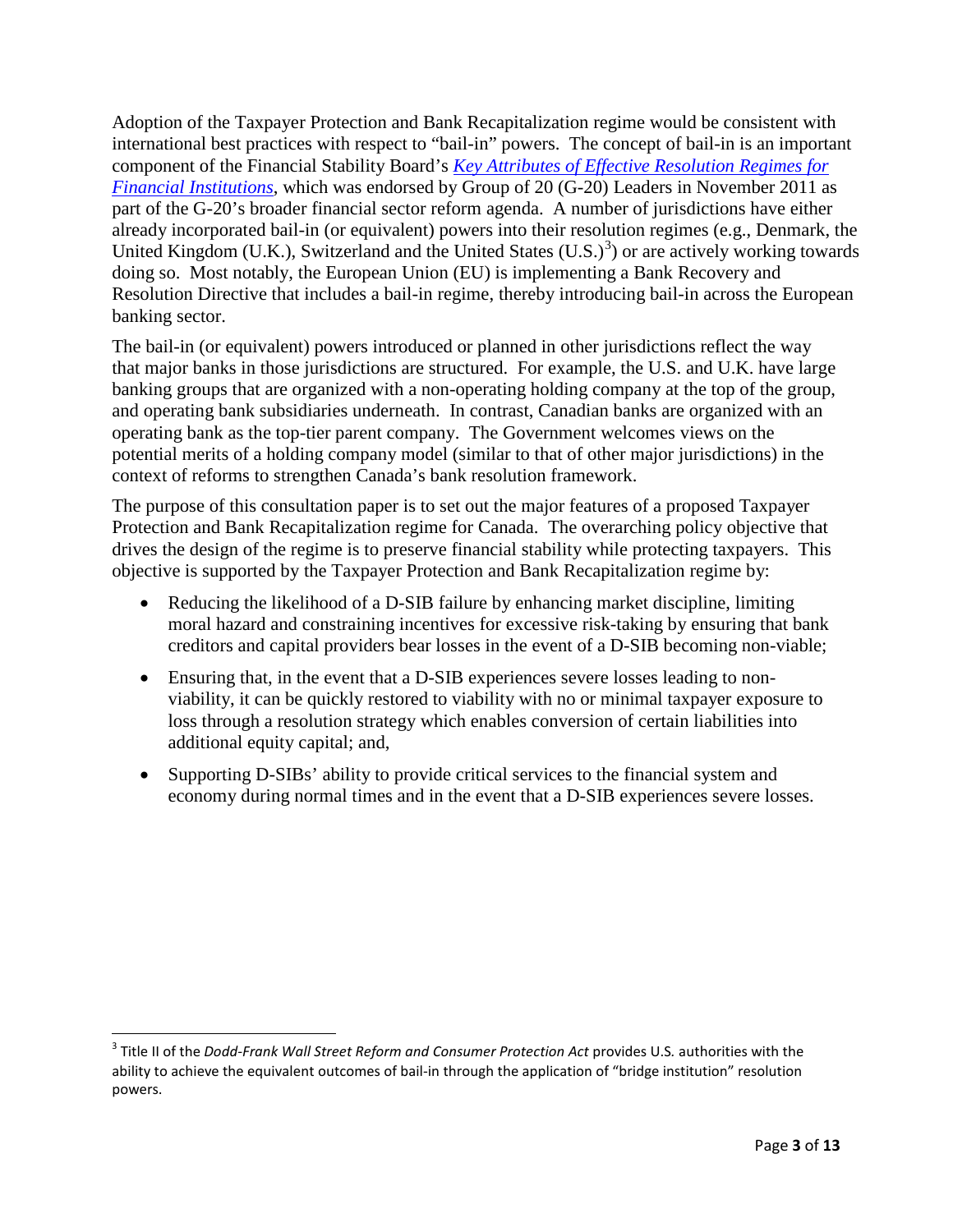Adoption of the Taxpayer Protection and Bank Recapitalization regime would be consistent with international best practices with respect to "bail-in" powers. The concept of bail-in is an important component of the Financial Stability Board's *[Key Attributes of Effective Resolution Regimes for](http://www.financialstabilityboard.org/publications/r_111104cc.pdf)  [Financial Institutions](http://www.financialstabilityboard.org/publications/r_111104cc.pdf)*, which was endorsed by Group of 20 (G-20) Leaders in November 2011 as part of the G-20's broader financial sector reform agenda. A number of jurisdictions have either already incorporated bail-in (or equivalent) powers into their resolution regimes (e.g., Denmark, the United Kingdom (U.K.), Switzerland and the United States  $(U.S.)^3$  $(U.S.)^3$ ) or are actively working towards doing so. Most notably, the European Union (EU) is implementing a Bank Recovery and Resolution Directive that includes a bail-in regime, thereby introducing bail-in across the European banking sector.

The bail-in (or equivalent) powers introduced or planned in other jurisdictions reflect the way that major banks in those jurisdictions are structured. For example, the U.S. and U.K. have large banking groups that are organized with a non-operating holding company at the top of the group, and operating bank subsidiaries underneath. In contrast, Canadian banks are organized with an operating bank as the top-tier parent company. The Government welcomes views on the potential merits of a holding company model (similar to that of other major jurisdictions) in the context of reforms to strengthen Canada's bank resolution framework.

The purpose of this consultation paper is to set out the major features of a proposed Taxpayer Protection and Bank Recapitalization regime for Canada. The overarching policy objective that drives the design of the regime is to preserve financial stability while protecting taxpayers. This objective is supported by the Taxpayer Protection and Bank Recapitalization regime by:

- Reducing the likelihood of a D-SIB failure by enhancing market discipline, limiting moral hazard and constraining incentives for excessive risk-taking by ensuring that bank creditors and capital providers bear losses in the event of a D-SIB becoming non-viable;
- Ensuring that, in the event that a D-SIB experiences severe losses leading to nonviability, it can be quickly restored to viability with no or minimal taxpayer exposure to loss through a resolution strategy which enables conversion of certain liabilities into additional equity capital; and,
- Supporting D-SIBs' ability to provide critical services to the financial system and economy during normal times and in the event that a D-SIB experiences severe losses.

l

<span id="page-2-0"></span><sup>3</sup> Title II of the *Dodd-Frank Wall Street Reform and Consumer Protection Act* provides U.S*.* authorities with the ability to achieve the equivalent outcomes of bail-in through the application of "bridge institution" resolution powers.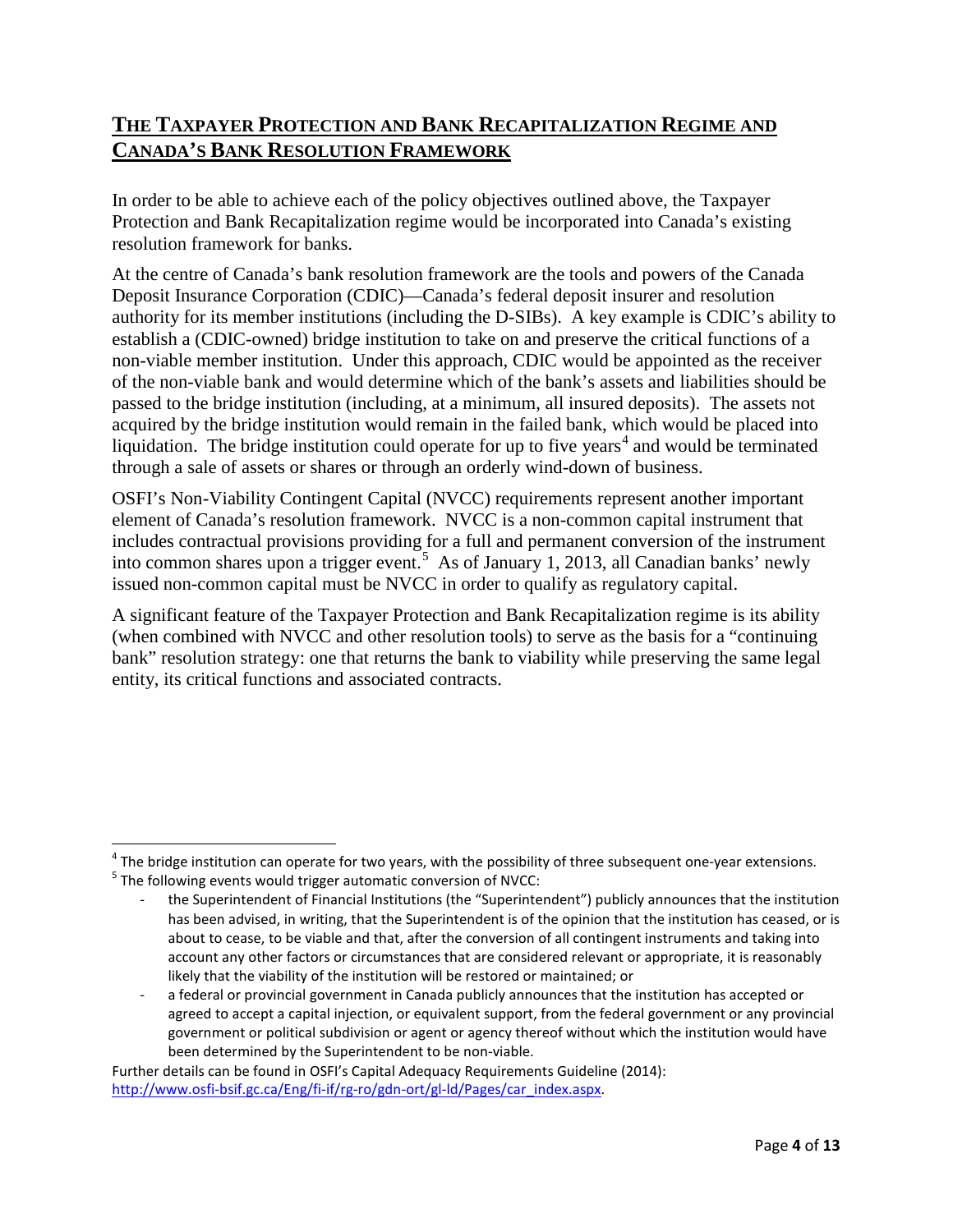## **THE TAXPAYER PROTECTION AND BANK RECAPITALIZATION REGIME AND CANADA'S BANK RESOLUTION FRAMEWORK**

In order to be able to achieve each of the policy objectives outlined above, the Taxpayer Protection and Bank Recapitalization regime would be incorporated into Canada's existing resolution framework for banks.

At the centre of Canada's bank resolution framework are the tools and powers of the Canada Deposit Insurance Corporation (CDIC)—Canada's federal deposit insurer and resolution authority for its member institutions (including the D-SIBs). A key example is CDIC's ability to establish a (CDIC-owned) bridge institution to take on and preserve the critical functions of a non-viable member institution. Under this approach, CDIC would be appointed as the receiver of the non-viable bank and would determine which of the bank's assets and liabilities should be passed to the bridge institution (including, at a minimum, all insured deposits). The assets not acquired by the bridge institution would remain in the failed bank, which would be placed into liquidation. The bridge institution could operate for up to five years<sup>[4](#page-3-0)</sup> and would be terminated through a sale of assets or shares or through an orderly wind-down of business.

OSFI's Non-Viability Contingent Capital (NVCC) requirements represent another important element of Canada's resolution framework. NVCC is a non-common capital instrument that includes contractual provisions providing for a full and permanent conversion of the instrument into common shares upon a trigger event.<sup>[5](#page-3-1)</sup> As of January 1, 2013, all Canadian banks' newly issued non-common capital must be NVCC in order to qualify as regulatory capital.

<span id="page-3-2"></span>A significant feature of the Taxpayer Protection and Bank Recapitalization regime is its ability (when combined with NVCC and other resolution tools) to serve as the basis for a "continuing bank" resolution strategy: one that returns the bank to viability while preserving the same legal entity, its critical functions and associated contracts.

 $\overline{\phantom{a}}$ 

<span id="page-3-1"></span><span id="page-3-0"></span> $^4$  The bridge institution can operate for two years, with the possibility of three subsequent one-year extensions.<br><sup>5</sup> The following events would trigger automatic conversion of NVCC:

the Superintendent of Financial Institutions (the "Superintendent") publicly announces that the institution has been advised, in writing, that the Superintendent is of the opinion that the institution has ceased, or is about to cease, to be viable and that, after the conversion of all contingent instruments and taking into account any other factors or circumstances that are considered relevant or appropriate, it is reasonably likely that the viability of the institution will be restored or maintained; or

a federal or provincial government in Canada publicly announces that the institution has accepted or agreed to accept a capital injection, or equivalent support, from the federal government or any provincial government or political subdivision or agent or agency thereof without which the institution would have been determined by the Superintendent to be non-viable.

Further details can be found in OSFI's Capital Adequacy Requirements Guideline (2014): [http://www.osfi-bsif.gc.ca/Eng/fi-if/rg-ro/gdn-ort/gl-ld/Pages/car\\_index.aspx.](http://www.osfi-bsif.gc.ca/Eng/fi-if/rg-ro/gdn-ort/gl-ld/Pages/car_index.aspx)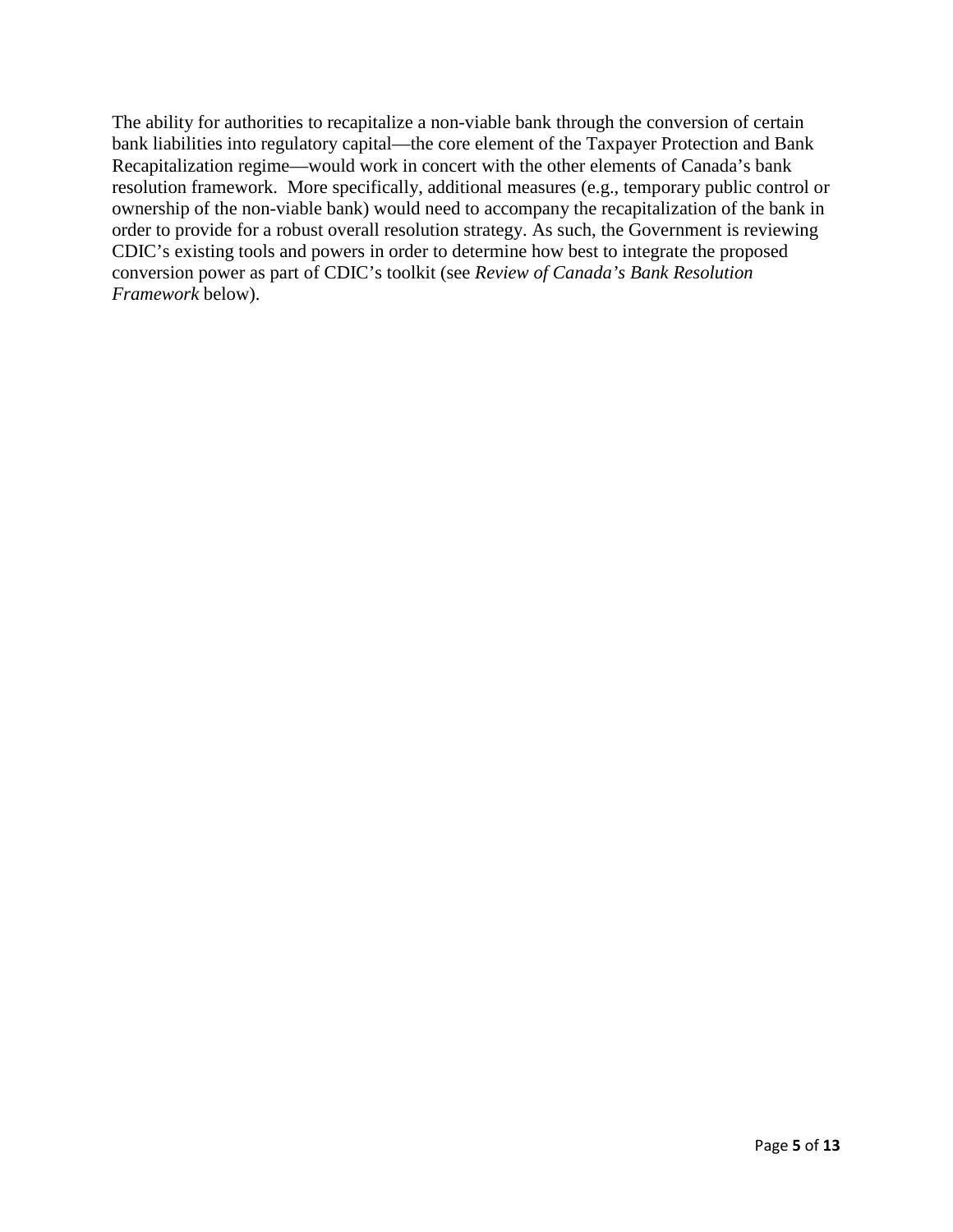The ability for authorities to recapitalize a non-viable bank through the conversion of certain bank liabilities into regulatory capital—the core element of the Taxpayer Protection and Bank Recapitalization regime—would work in concert with the other elements of Canada's bank resolution framework. More specifically, additional measures (e.g., temporary public control or ownership of the non-viable bank) would need to accompany the recapitalization of the bank in order to provide for a robust overall resolution strategy. As such, the Government is reviewing CDIC's existing tools and powers in order to determine how best to integrate the proposed conversion power as part of CDIC's toolkit (see *Review of Canada's Bank Resolution Framework* below).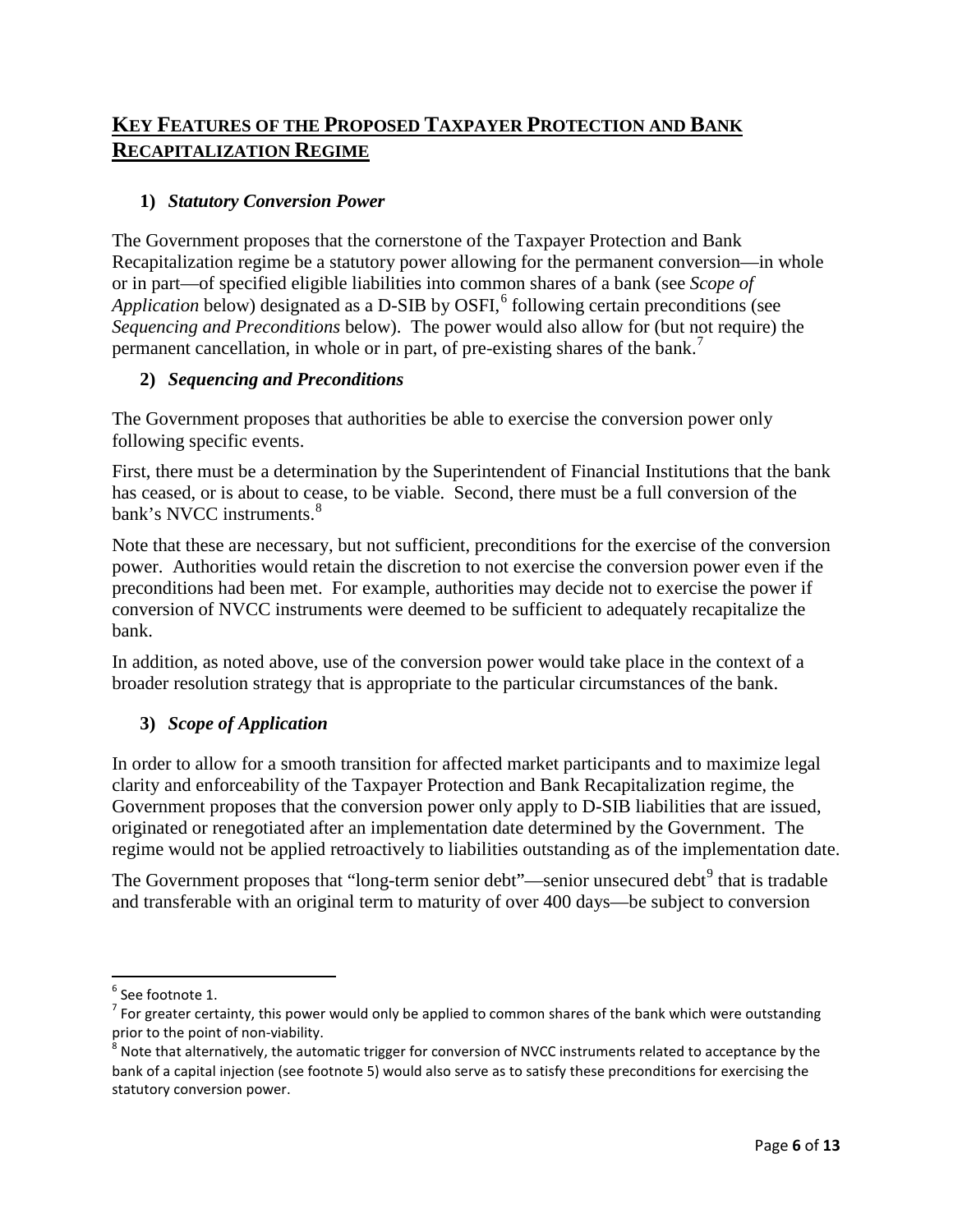## **KEY FEATURES OF THE PROPOSED TAXPAYER PROTECTION AND BANK RECAPITALIZATION REGIME**

#### **1)** *Statutory Conversion Power*

The Government proposes that the cornerstone of the Taxpayer Protection and Bank Recapitalization regime be a statutory power allowing for the permanent conversion—in whole or in part—of specified eligible liabilities into common shares of a bank (see *Scope of Application* below) designated as a D-SIB by OSFI, [6](#page-5-0) following certain preconditions (see *Sequencing and Preconditions* below). The power would also allow for (but not require) the permanent cancellation, in whole or in part, of pre-existing shares of the bank.[7](#page-5-1)

#### <span id="page-5-4"></span>**2)** *Sequencing and Preconditions*

The Government proposes that authorities be able to exercise the conversion power only following specific events.

First, there must be a determination by the Superintendent of Financial Institutions that the bank has ceased, or is about to cease, to be viable. Second, there must be a full conversion of the bank's NVCC instruments.<sup>[8](#page-5-2)</sup>

Note that these are necessary, but not sufficient, preconditions for the exercise of the conversion power. Authorities would retain the discretion to not exercise the conversion power even if the preconditions had been met. For example, authorities may decide not to exercise the power if conversion of NVCC instruments were deemed to be sufficient to adequately recapitalize the bank.

In addition, as noted above, use of the conversion power would take place in the context of a broader resolution strategy that is appropriate to the particular circumstances of the bank.

#### **3)** *Scope of Application*

In order to allow for a smooth transition for affected market participants and to maximize legal clarity and enforceability of the Taxpayer Protection and Bank Recapitalization regime, the Government proposes that the conversion power only apply to D-SIB liabilities that are issued, originated or renegotiated after an implementation date determined by the Government. The regime would not be applied retroactively to liabilities outstanding as of the implementation date.

The Government proposes that "long-term senior debt"—senior unsecured debt<sup>[9](#page-5-3)</sup> that is tradable and transferable with an original term to maturity of over 400 days—be subject to conversion

<span id="page-5-3"></span> $\overline{\phantom{a}}$ 

<span id="page-5-1"></span><span id="page-5-0"></span><sup>&</sup>lt;sup>6</sup> See footnote 1.<br><sup>7</sup> For greater certainty, this power would only be applied to common shares of the bank which were outstanding prior to the point of non-viability.

<span id="page-5-2"></span>Note that alternatively, the automatic trigger for conversion of NVCC instruments related to acceptance by the bank of a capital injection (see footnote [5\)](#page-3-2) would also serve as to satisfy these preconditions for exercising the statutory conversion power.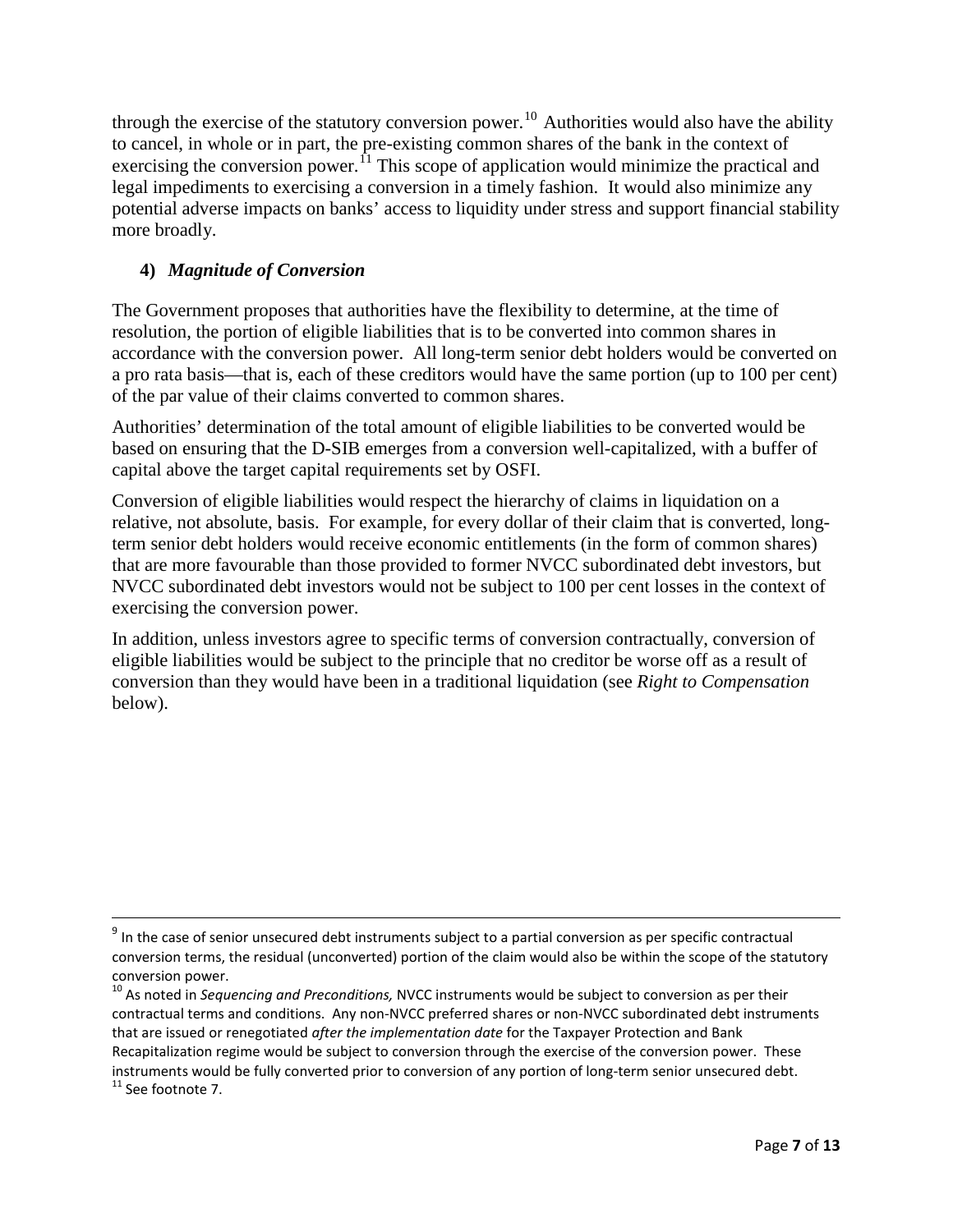through the exercise of the statutory conversion power.<sup>[10](#page-6-0)</sup> Authorities would also have the ability to cancel, in whole or in part, the pre-existing common shares of the bank in the context of exercising the conversion power.<sup>[11](#page-6-1)</sup> This scope of application would minimize the practical and legal impediments to exercising a conversion in a timely fashion. It would also minimize any potential adverse impacts on banks' access to liquidity under stress and support financial stability more broadly.

### <span id="page-6-2"></span>**4)** *Magnitude of Conversion*

 $\overline{\phantom{a}}$ 

The Government proposes that authorities have the flexibility to determine, at the time of resolution, the portion of eligible liabilities that is to be converted into common shares in accordance with the conversion power. All long-term senior debt holders would be converted on a pro rata basis—that is, each of these creditors would have the same portion (up to 100 per cent) of the par value of their claims converted to common shares.

Authorities' determination of the total amount of eligible liabilities to be converted would be based on ensuring that the D-SIB emerges from a conversion well-capitalized, with a buffer of capital above the target capital requirements set by OSFI.

Conversion of eligible liabilities would respect the hierarchy of claims in liquidation on a relative, not absolute, basis. For example, for every dollar of their claim that is converted, longterm senior debt holders would receive economic entitlements (in the form of common shares) that are more favourable than those provided to former NVCC subordinated debt investors, but NVCC subordinated debt investors would not be subject to 100 per cent losses in the context of exercising the conversion power.

In addition, unless investors agree to specific terms of conversion contractually, conversion of eligible liabilities would be subject to the principle that no creditor be worse off as a result of conversion than they would have been in a traditional liquidation (see *Right to Compensation*  below).

<sup>&</sup>lt;sup>9</sup> In the case of senior unsecured debt instruments subject to a partial conversion as per specific contractual conversion terms, the residual (unconverted) portion of the claim would also be within the scope of the statutory conversion power.<br><sup>10</sup> As noted in *Sequencing and Preconditions,* NVCC instruments would be subject to conversion as per their

<span id="page-6-1"></span><span id="page-6-0"></span>contractual terms and conditions. Any non-NVCC preferred shares or non-NVCC subordinated debt instruments that are issued or renegotiated *after the implementation date* for the Taxpayer Protection and Bank Recapitalization regime would be subject to conversion through the exercise of the conversion power. These instruments would be fully converted prior to conversion of any portion of long-term senior unsecured debt.<br><sup>11</sup> See footnot[e 7.](#page-5-4)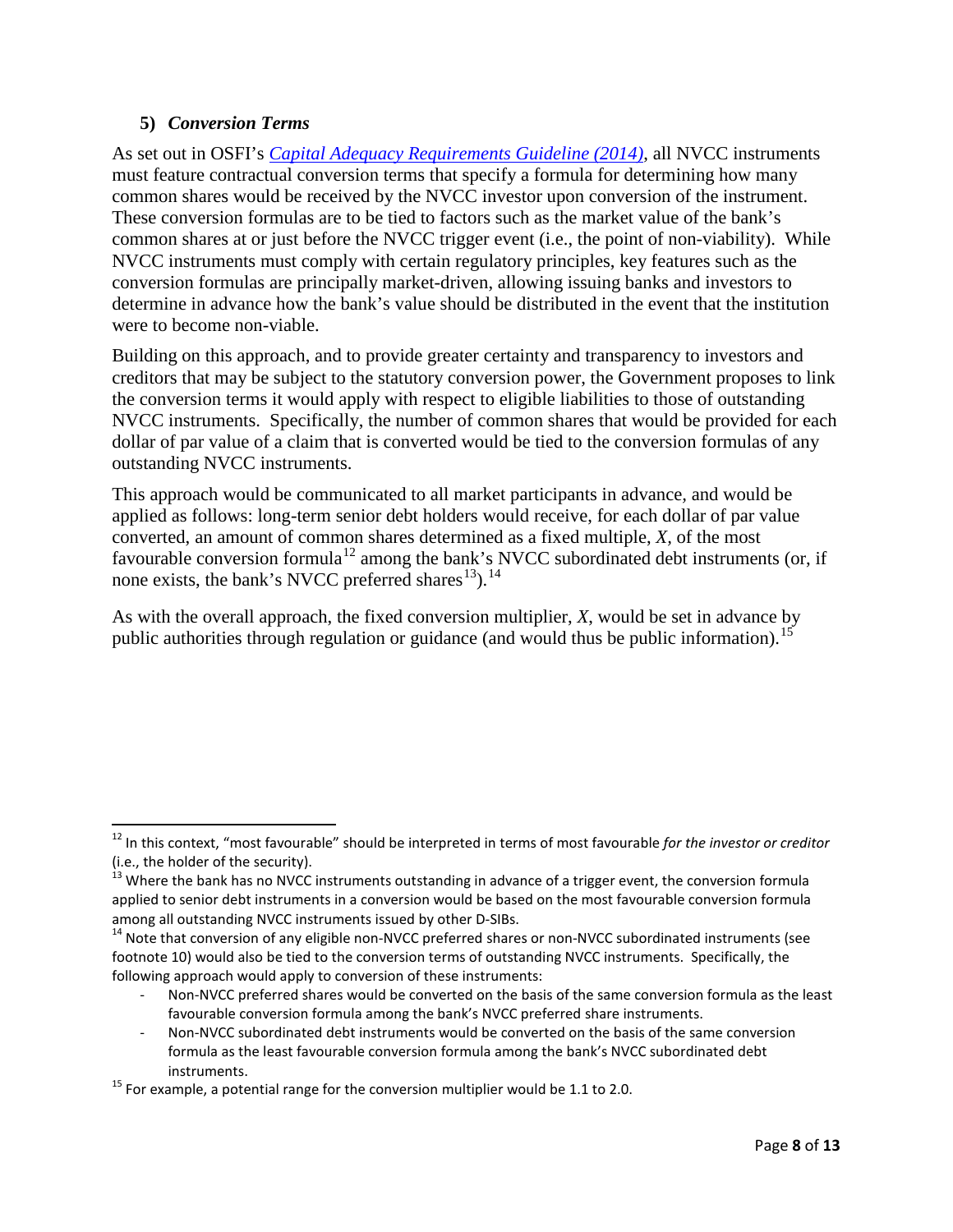#### **5)** *Conversion Terms*

l

As set out in OSFI's *[Capital Adequacy Requirements Guideline \(2014\)](http://www.osfi-bsif.gc.ca/Eng/Docs/CAR_chpt2.pdf)*, all NVCC instruments must feature contractual conversion terms that specify a formula for determining how many common shares would be received by the NVCC investor upon conversion of the instrument. These conversion formulas are to be tied to factors such as the market value of the bank's common shares at or just before the NVCC trigger event (i.e., the point of non-viability). While NVCC instruments must comply with certain regulatory principles, key features such as the conversion formulas are principally market-driven, allowing issuing banks and investors to determine in advance how the bank's value should be distributed in the event that the institution were to become non-viable.

Building on this approach, and to provide greater certainty and transparency to investors and creditors that may be subject to the statutory conversion power, the Government proposes to link the conversion terms it would apply with respect to eligible liabilities to those of outstanding NVCC instruments. Specifically, the number of common shares that would be provided for each dollar of par value of a claim that is converted would be tied to the conversion formulas of any outstanding NVCC instruments.

This approach would be communicated to all market participants in advance*,* and would be applied as follows: long-term senior debt holders would receive, for each dollar of par value converted, an amount of common shares determined as a fixed multiple, *X,* of the most favourable conversion formula<sup>[12](#page-7-0)</sup> among the bank's NVCC subordinated debt instruments (or, if none exists, the bank's NVCC preferred shares<sup>[13](#page-7-1)</sup>).<sup>[14](#page-7-2)</sup>

As with the overall approach, the fixed conversion multiplier, *X*, would be set in advance by public authorities through regulation or guidance (and would thus be public information).<sup>[15](#page-7-3)</sup>

- Non-NVCC preferred shares would be converted on the basis of the same conversion formula as the least favourable conversion formula among the bank's NVCC preferred share instruments.

<span id="page-7-0"></span><sup>12</sup> In this context, "most favourable" should be interpreted in terms of most favourable *for the investor or creditor*  (i.e., the holder of the security).

<span id="page-7-1"></span> $^{13}$  Where the bank has no NVCC instruments outstanding in advance of a trigger event, the conversion formula applied to senior debt instruments in a conversion would be based on the most favourable conversion formula among all outstanding NVCC instruments issued by other D-SIBs.<br><sup>14</sup> Note that conversion of any eligible non-NVCC preferred shares or non-NVCC subordinated instruments (see

<span id="page-7-2"></span>footnote [10\)](#page-6-2) would also be tied to the conversion terms of outstanding NVCC instruments. Specifically, the following approach would apply to conversion of these instruments:

<sup>-</sup> Non-NVCC subordinated debt instruments would be converted on the basis of the same conversion formula as the least favourable conversion formula among the bank's NVCC subordinated debt instruments.<br><sup>15</sup> For example, a potential range for the conversion multiplier would be 1.1 to 2.0.

<span id="page-7-3"></span>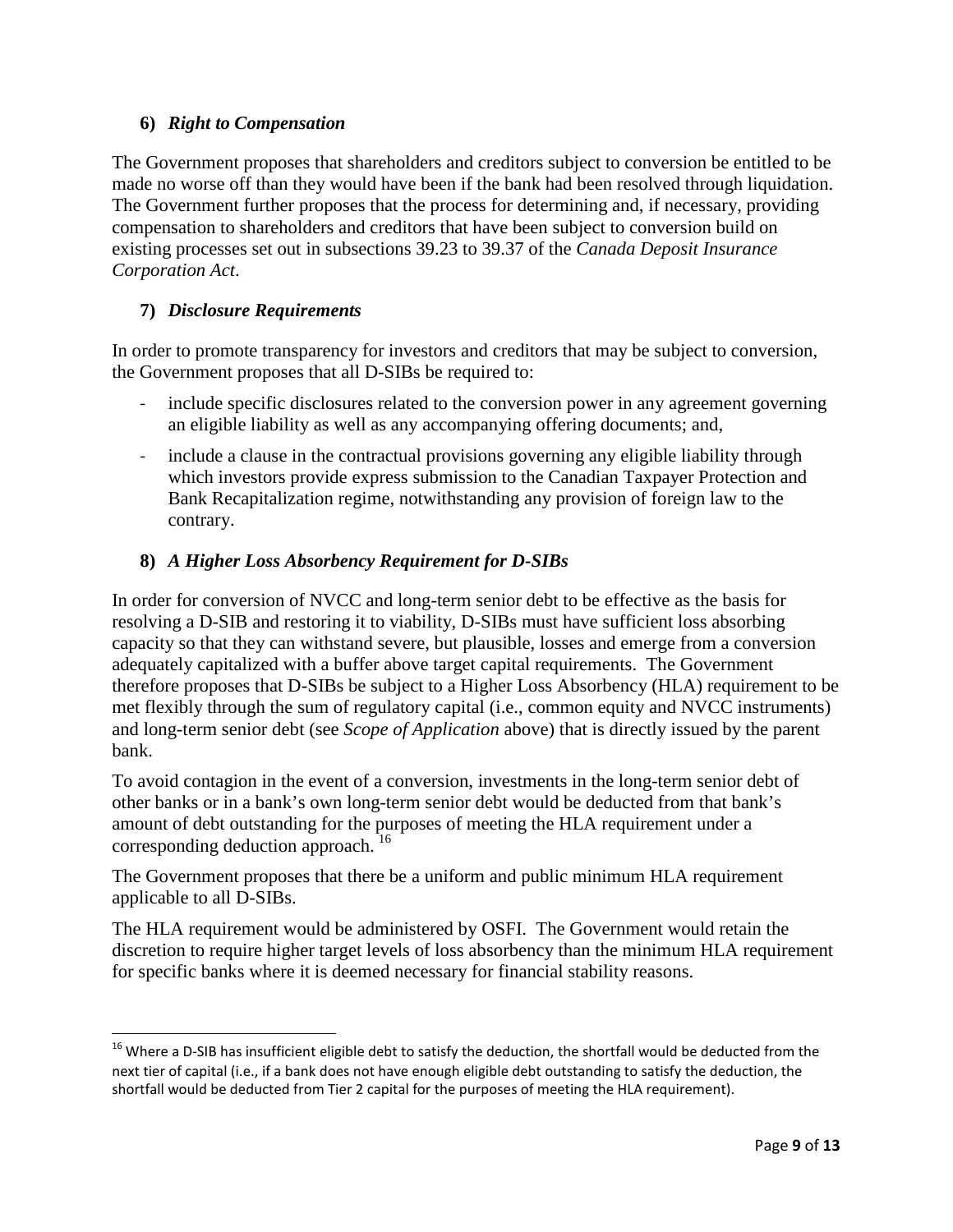#### **6)** *Right to Compensation*

The Government proposes that shareholders and creditors subject to conversion be entitled to be made no worse off than they would have been if the bank had been resolved through liquidation. The Government further proposes that the process for determining and, if necessary, providing compensation to shareholders and creditors that have been subject to conversion build on existing processes set out in subsections 39.23 to 39.37 of the *Canada Deposit Insurance Corporation Act*.

### **7)** *Disclosure Requirements*

l

In order to promote transparency for investors and creditors that may be subject to conversion, the Government proposes that all D-SIBs be required to:

- include specific disclosures related to the conversion power in any agreement governing an eligible liability as well as any accompanying offering documents; and,
- include a clause in the contractual provisions governing any eligible liability through which investors provide express submission to the Canadian Taxpayer Protection and Bank Recapitalization regime, notwithstanding any provision of foreign law to the contrary.

### **8)** *A Higher Loss Absorbency Requirement for D-SIBs*

In order for conversion of NVCC and long-term senior debt to be effective as the basis for resolving a D-SIB and restoring it to viability, D-SIBs must have sufficient loss absorbing capacity so that they can withstand severe, but plausible, losses and emerge from a conversion adequately capitalized with a buffer above target capital requirements. The Government therefore proposes that D-SIBs be subject to a Higher Loss Absorbency (HLA) requirement to be met flexibly through the sum of regulatory capital (i.e., common equity and NVCC instruments) and long-term senior debt (see *Scope of Application* above) that is directly issued by the parent bank.

To avoid contagion in the event of a conversion, investments in the long-term senior debt of other banks or in a bank's own long-term senior debt would be deducted from that bank's amount of debt outstanding for the purposes of meeting the HLA requirement under a corresponding deduction approach.<sup>16</sup>

The Government proposes that there be a uniform and public minimum HLA requirement applicable to all D-SIBs.

The HLA requirement would be administered by OSFI. The Government would retain the discretion to require higher target levels of loss absorbency than the minimum HLA requirement for specific banks where it is deemed necessary for financial stability reasons.

<span id="page-8-0"></span><sup>&</sup>lt;sup>16</sup> Where a D-SIB has insufficient eligible debt to satisfy the deduction, the shortfall would be deducted from the next tier of capital (i.e., if a bank does not have enough eligible debt outstanding to satisfy the deduction, the shortfall would be deducted from Tier 2 capital for the purposes of meeting the HLA requirement).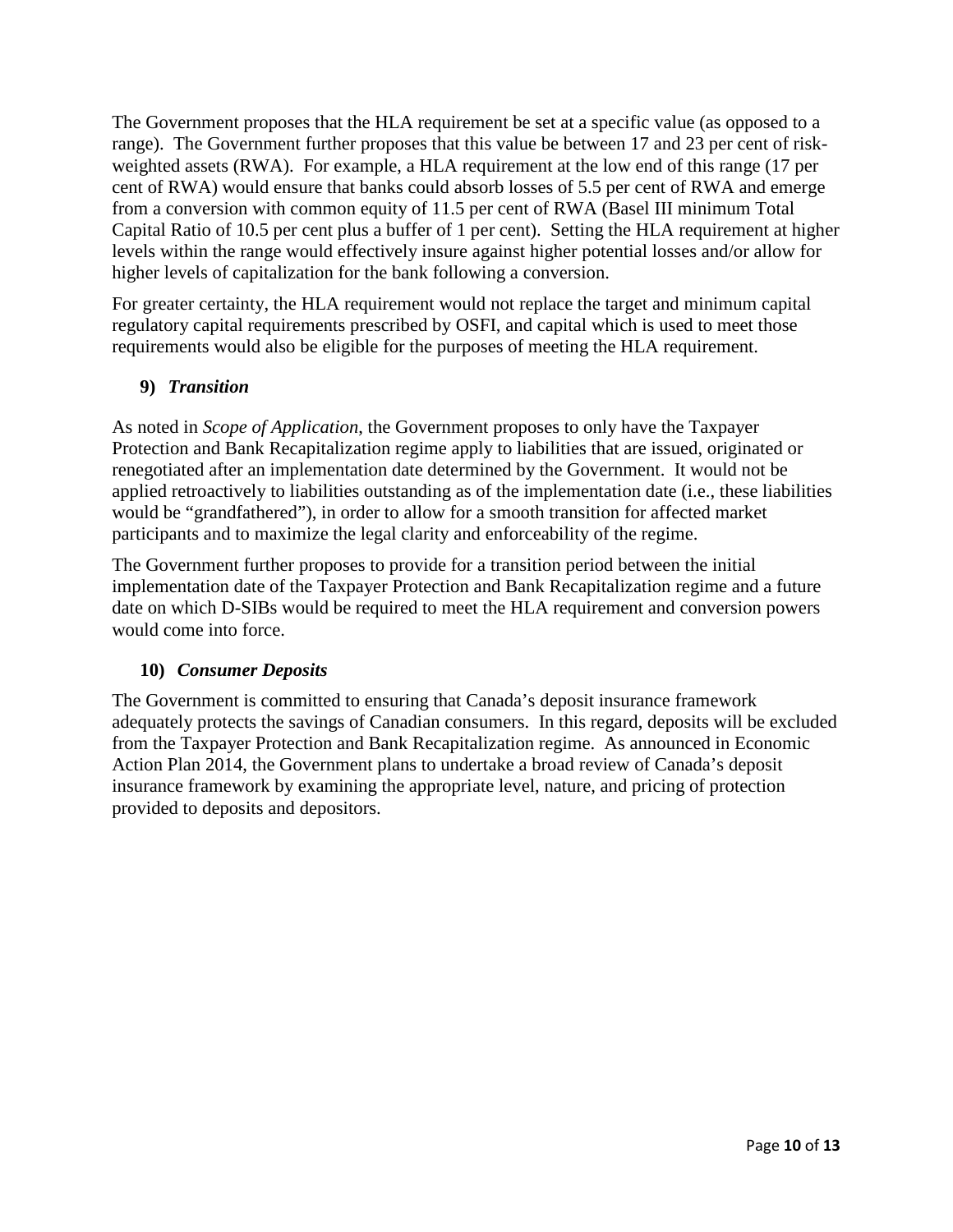The Government proposes that the HLA requirement be set at a specific value (as opposed to a range). The Government further proposes that this value be between 17 and 23 per cent of riskweighted assets (RWA). For example, a HLA requirement at the low end of this range (17 per cent of RWA) would ensure that banks could absorb losses of 5.5 per cent of RWA and emerge from a conversion with common equity of 11.5 per cent of RWA (Basel III minimum Total Capital Ratio of 10.5 per cent plus a buffer of 1 per cent). Setting the HLA requirement at higher levels within the range would effectively insure against higher potential losses and/or allow for higher levels of capitalization for the bank following a conversion.

For greater certainty, the HLA requirement would not replace the target and minimum capital regulatory capital requirements prescribed by OSFI, and capital which is used to meet those requirements would also be eligible for the purposes of meeting the HLA requirement.

#### **9)** *Transition*

As noted in *Scope of Application*, the Government proposes to only have the Taxpayer Protection and Bank Recapitalization regime apply to liabilities that are issued, originated or renegotiated after an implementation date determined by the Government. It would not be applied retroactively to liabilities outstanding as of the implementation date (i.e., these liabilities would be "grandfathered"), in order to allow for a smooth transition for affected market participants and to maximize the legal clarity and enforceability of the regime.

The Government further proposes to provide for a transition period between the initial implementation date of the Taxpayer Protection and Bank Recapitalization regime and a future date on which D-SIBs would be required to meet the HLA requirement and conversion powers would come into force.

### **10)** *Consumer Deposits*

The Government is committed to ensuring that Canada's deposit insurance framework adequately protects the savings of Canadian consumers. In this regard, deposits will be excluded from the Taxpayer Protection and Bank Recapitalization regime. As announced in Economic Action Plan 2014, the Government plans to undertake a broad review of Canada's deposit insurance framework by examining the appropriate level, nature, and pricing of protection provided to deposits and depositors.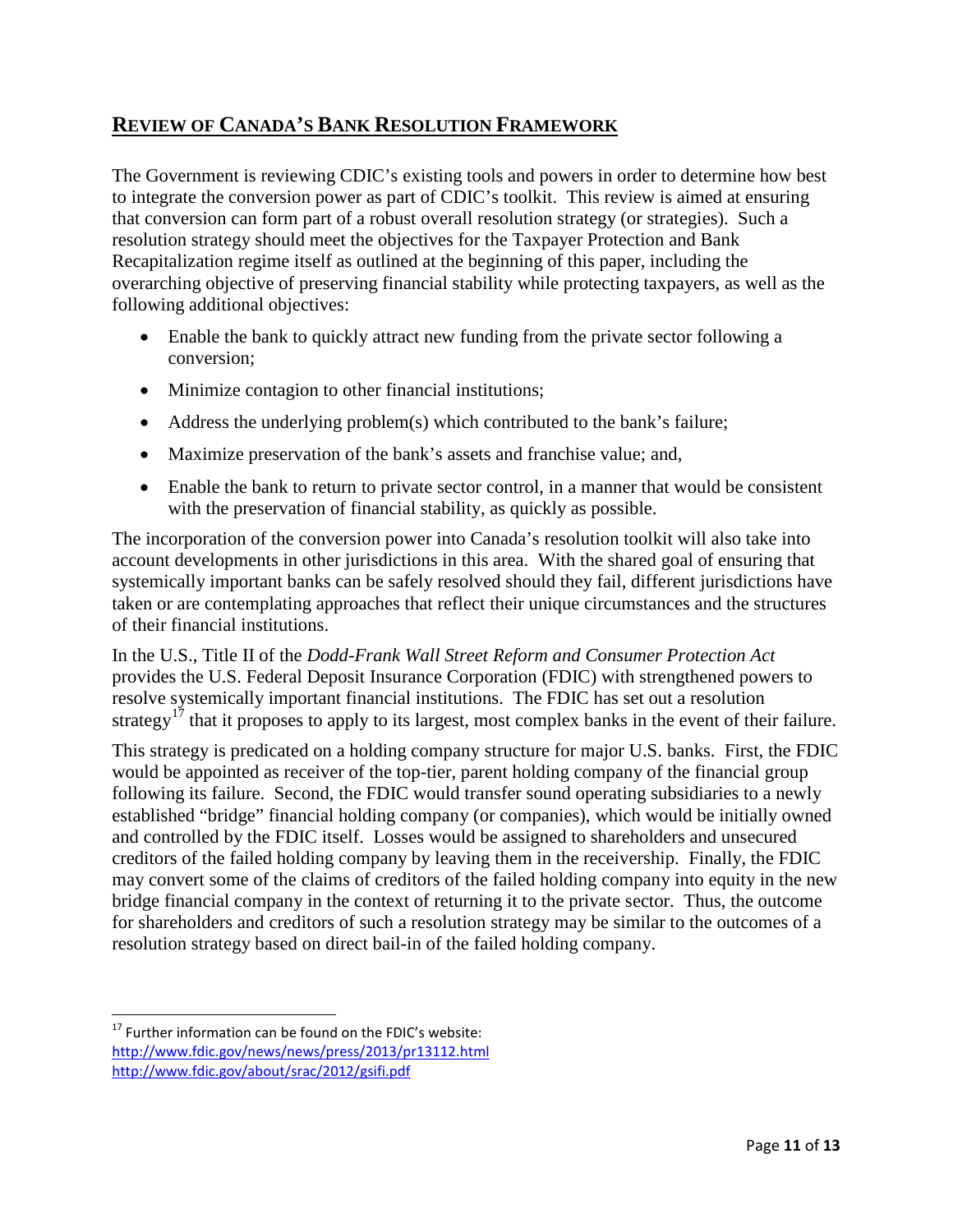## **REVIEW OF CANADA'S BANK RESOLUTION FRAMEWORK**

The Government is reviewing CDIC's existing tools and powers in order to determine how best to integrate the conversion power as part of CDIC's toolkit. This review is aimed at ensuring that conversion can form part of a robust overall resolution strategy (or strategies). Such a resolution strategy should meet the objectives for the Taxpayer Protection and Bank Recapitalization regime itself as outlined at the beginning of this paper, including the overarching objective of preserving financial stability while protecting taxpayers, as well as the following additional objectives:

- Enable the bank to quickly attract new funding from the private sector following a conversion;
- Minimize contagion to other financial institutions;
- Address the underlying problem(s) which contributed to the bank's failure;
- Maximize preservation of the bank's assets and franchise value; and,
- Enable the bank to return to private sector control, in a manner that would be consistent with the preservation of financial stability, as quickly as possible.

The incorporation of the conversion power into Canada's resolution toolkit will also take into account developments in other jurisdictions in this area. With the shared goal of ensuring that systemically important banks can be safely resolved should they fail, different jurisdictions have taken or are contemplating approaches that reflect their unique circumstances and the structures of their financial institutions.

In the U.S., Title II of the *Dodd-Frank Wall Street Reform and Consumer Protection Act* provides the U.S. Federal Deposit Insurance Corporation (FDIC) with strengthened powers to resolve systemically important financial institutions. The FDIC has set out a resolution strategy<sup>[17](#page-10-0)</sup> that it proposes to apply to its largest, most complex banks in the event of their failure.

This strategy is predicated on a holding company structure for major U.S. banks. First, the FDIC would be appointed as receiver of the top-tier, parent holding company of the financial group following its failure. Second, the FDIC would transfer sound operating subsidiaries to a newly established "bridge" financial holding company (or companies), which would be initially owned and controlled by the FDIC itself. Losses would be assigned to shareholders and unsecured creditors of the failed holding company by leaving them in the receivership. Finally, the FDIC may convert some of the claims of creditors of the failed holding company into equity in the new bridge financial company in the context of returning it to the private sector. Thus, the outcome for shareholders and creditors of such a resolution strategy may be similar to the outcomes of a resolution strategy based on direct bail-in of the failed holding company.

 $\overline{\phantom{a}}$ 

<span id="page-10-0"></span> $17$  Further information can be found on the FDIC's website: <http://www.fdic.gov/news/news/press/2013/pr13112.html> <http://www.fdic.gov/about/srac/2012/gsifi.pdf>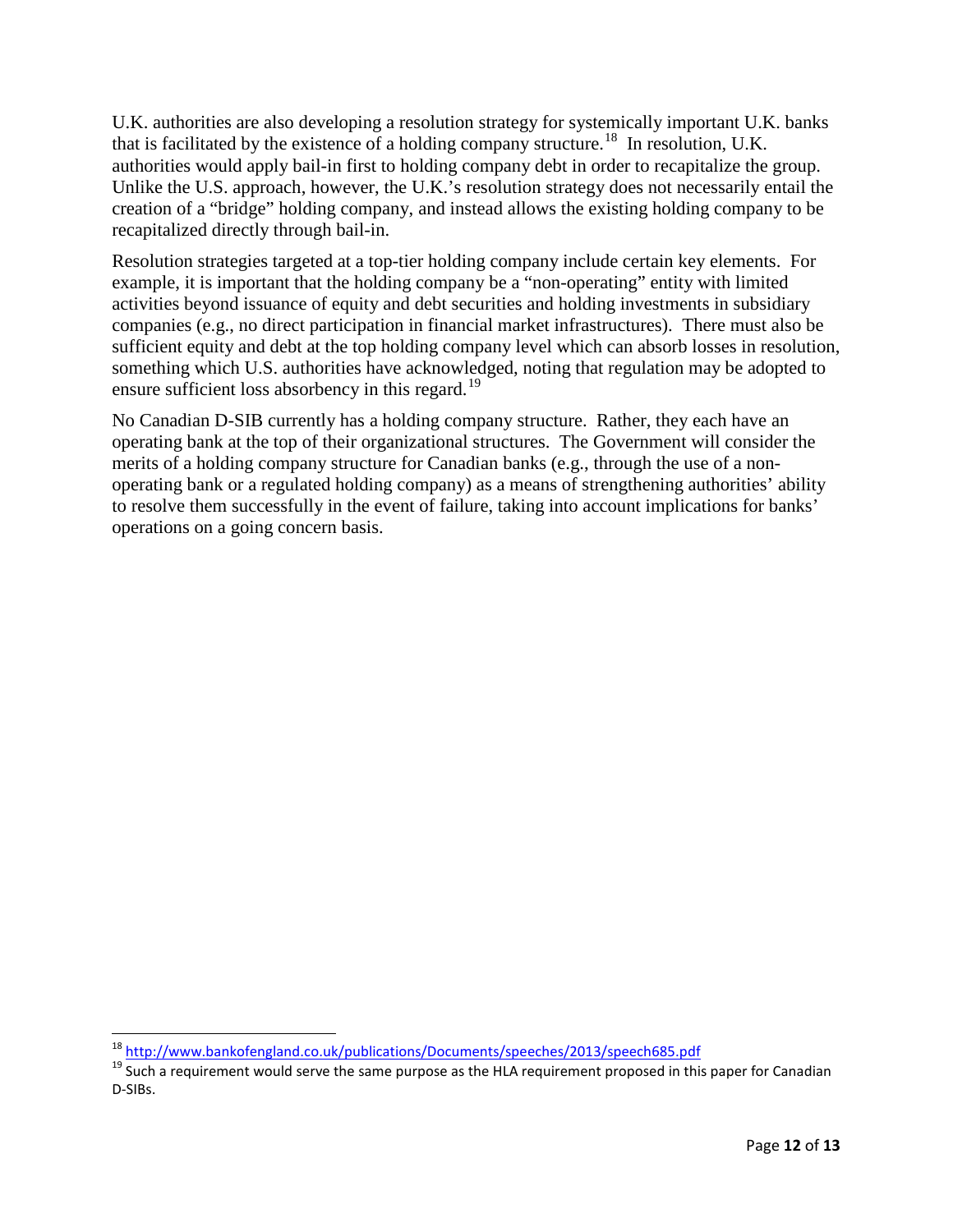U.K. authorities are also developing a resolution strategy for systemically important U.K. banks that is facilitated by the existence of a holding company structure.<sup>18</sup> In resolution, U.K. authorities would apply bail-in first to holding company debt in order to recapitalize the group. Unlike the U.S. approach, however, the U.K.'s resolution strategy does not necessarily entail the creation of a "bridge" holding company, and instead allows the existing holding company to be recapitalized directly through bail-in.

Resolution strategies targeted at a top-tier holding company include certain key elements. For example, it is important that the holding company be a "non-operating" entity with limited activities beyond issuance of equity and debt securities and holding investments in subsidiary companies (e.g., no direct participation in financial market infrastructures). There must also be sufficient equity and debt at the top holding company level which can absorb losses in resolution, something which U.S. authorities have acknowledged, noting that regulation may be adopted to ensure sufficient loss absorbency in this regard.<sup>[19](#page-11-1)</sup>

No Canadian D-SIB currently has a holding company structure. Rather, they each have an operating bank at the top of their organizational structures. The Government will consider the merits of a holding company structure for Canadian banks (e.g., through the use of a nonoperating bank or a regulated holding company) as a means of strengthening authorities' ability to resolve them successfully in the event of failure, taking into account implications for banks' operations on a going concern basis.

l

<span id="page-11-1"></span><span id="page-11-0"></span><sup>&</sup>lt;sup>18</sup> <http://www.bankofengland.co.uk/publications/Documents/speeches/2013/speech685.pdf><br><sup>19</sup> Such a requirement would serve the same purpose as the HLA requirement proposed in this paper for Canadian D-SIBs.